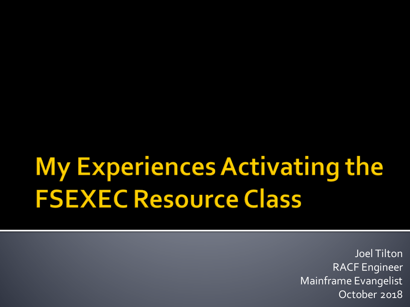# My Experiences Activating the **FSEXEC Resource Class**

Joel Tilton RACF Engineer Mainframe Evangelist October 2018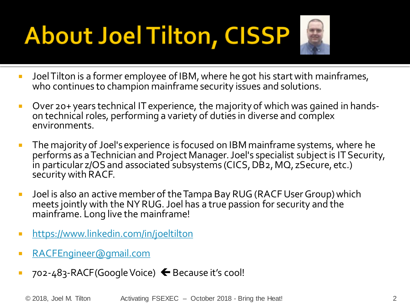# **About Joel Tilton, CISSP**



- **Joel Tilton is a former employee of IBM, where he got his start with mainframes,** who continues to champion mainframe security issues and solutions.
- Over 20+ years technical IT experience, the majority of which was gained in hands- on technical roles, performing a variety of duties in diverse and complex environments.
- **The majority of Joel's experience is focused on IBM mainframe systems, where he** performs as a Technician and Project Manager. Joel's specialist subject is IT Security, in particular z/OS and associated subsystems (CICS, DB2, MQ, zSecure, etc.) security with RACF.
- Joel is also an active member of the Tampa Bay RUG (RACF User Group) which meets jointly with the NY RUG. Joel has a true passion for security and the mainframe. Long live the mainframe!
- <https://www.linkedin.com/in/joeltilton>
- [RACFEngineer@gmail.com](mailto:RACFEngineer@gmail.com)
- $\blacksquare$  702-483-RACF(Google Voice)  $\blacklozenge$  Because it's cool!

© 2018, Joel M. Tilton Activating FSEXEC – October 2018 - Bring the Heat! 2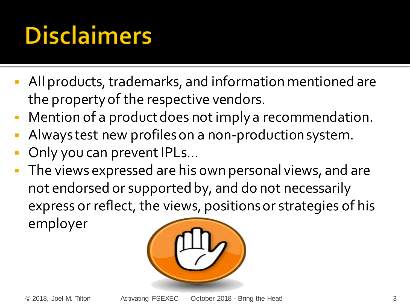## **Disclaimers**

- All products, trademarks, and information mentioned are the property of the respective vendors.
- Mention of a product does not imply a recommendation.
- Always test new profiles on a non-production system.
- Only you can prevent IPLs…
- The views expressed are his own personal views, and are not endorsed or supported by, and do not necessarily express or reflect, the views, positions or strategies of his employer

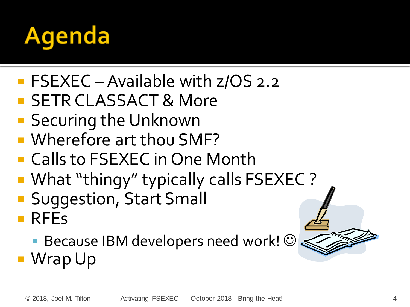

- **FSEXEC** Available with z/OS 2.2
- **SETR CLASSACT & More**
- **Securing the Unknown**
- Wherefore art thou SMF?
- Calls to FSEXEC in One Month
- What "thingy" typically calls FSEXEC ?
- **Suggestion, Start Small**
- **RFEs**

**Because IBM developers need work!**  $\odot$ ■ Wrap Up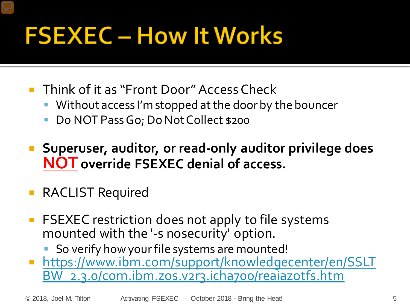## **FSEXEC - How It Works**

- **Think of it as "Front Door" Access Check** 
	- Without access I'm stopped at the door by the bouncer
	- Do NOT Pass Go; Do Not Collect \$200
- **Superuser, auditor, or read-only auditor privilege does NOT override FSEXEC denial of access.**
- RACLIST Required
- **FITUA** FSEXEC restriction does not apply to file systems mounted with the '-s nosecurity' option.
	- So verify how your file systems are mounted!
- **[https://www.ibm.com/support/knowledgecenter/en/SSLT](https://www.ibm.com/support/knowledgecenter/en/SSLTBW_2.3.0/com.ibm.zos.v2r3.icha700/reaiazotfs.htm)** BW\_2.3.0/com.ibm.zos.v2r3.icha700/reaiazotfs.htm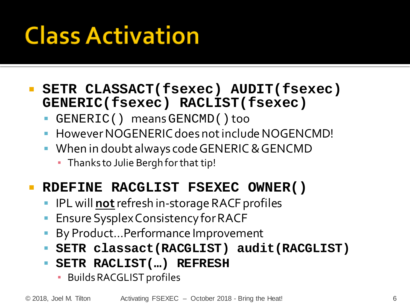## **Class Activation**

#### **SETR CLASSACT(fsexec) AUDIT(fsexec) GENERIC(fsexec) RACLIST(fsexec)**

- GENERIC() means GENCMD()too
- However NOGENERIC does not include NOGENCMD!
- **When in doubt always code GENERIC & GENCMD** 
	- **Thanks to Julie Bergh for that tip!**

#### **RDEFINE RACGLIST FSEXEC OWNER()**

- **IFL will not** refresh in-storage RACF profiles
- Ensure SysplexConsistency for RACF
- By Product…Performance Improvement
- **SETR classact(RACGLIST) audit(RACGLIST)**
- **SETR RACLIST(…) REFRESH** 
	- Builds RACGLIST profiles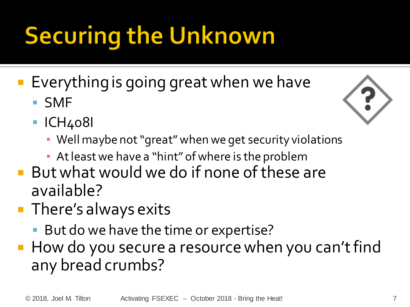# **Securing the Unknown**

- **Everything is going great when we have** 
	- SMF
	- ICH408I



- Well maybe not "great" when we get security violations
- **At least we have a "hint" of where is the problem**
- But what would we do if none of these are available?
- **There's always exits** 
	- **But do we have the time or expertise?**
- **How do you secure a resource when you can't find** any bread crumbs?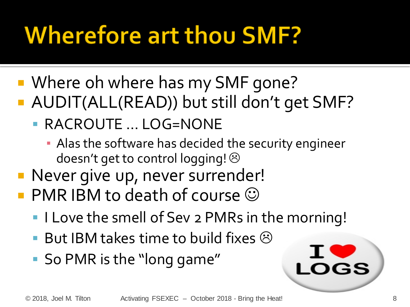## **Wherefore art thou SMF?**

- Where oh where has my SMF gone?
- AUDIT(ALL(READ)) but still don't get SMF?
	- RACROUTE … LOG=NONE
		- **Alas the software has decided the security engineer** doesn't get to control logging! 8
- **Never give up, never surrender!**
- **PMR IBM to death of course**  $\odot$ 
	- I Love the smell of Sev 2 PMRs in the morning!
	- But IBM takes time to build fixes  $\odot$
	- So PMR is the "long game"

**LOGS**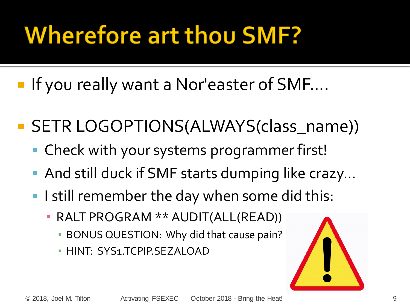## **Wherefore art thou SMF?**

■ If you really want a Nor'easter of SMF....

- **SETR LOGOPTIONS(ALWAYS(class\_name))** 
	- Check with your systems programmer first!
	- And still duck if SMF starts dumping like crazy...
	- I still remember the day when some did this:
		- RALT PROGRAM \*\* AUDIT(ALL(READ))
			- **BONUS QUESTION: Why did that cause pain?**
			- **· HINT: SYS1.TCPIP.SEZALOAD**

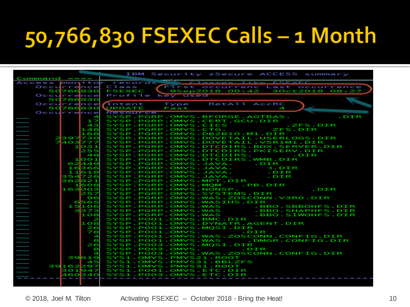#### 50,766,830 FSEXEC Calls - 1 Month

| $Commoned == =>$       | IBM Security zSecure ACCESS summary                                                                               |
|------------------------|-------------------------------------------------------------------------------------------------------------------|
| Access monitor records | Classes like ESEXEC                                                                                               |
|                        | Class                                                                                                             |
| Occurrence             | First occurrenc Last occurrence                                                                                   |
| 50766830               | 9Sep2018 00:42 30ct2018 08:27<br><b>FSEXEC</b>                                                                    |
| Occurrence             | Profile<br>key used                                                                                               |
| 50766830               |                                                                                                                   |
| Occurrence             | RetATT AccRC<br>Intent<br>Type                                                                                    |
| 50766830               | UPDATE<br>Fast<br>$\blacktriangleleft$                                                                            |
| Occurrence             | <b>Resource</b>                                                                                                   |
| $\overline{4}$         | SYSP.PGRP.OMVS.BFORGE.AGTBAS.<br>.DIR                                                                             |
| ュフ                     | SYSP.PGRP.OMVS.CERT.GCU.DIR                                                                                       |
| 43                     | SYSP.PGRP.OMVS.CICS<br>.ZFS.DIR                                                                                   |
|                        | <b>ZFS.DIR</b>                                                                                                    |
| 148                    | SYSP.PGRP.OMVS.CTG.                                                                                               |
| 168                    | SYSP.PGRP.OMVS.DB2B10.M1.DIR                                                                                      |
| 2397730                | SYSP.PGRP.OMVS.DOVETAIL.USERLOGS.DIR                                                                              |
| 7403777                | SYSP.PGRP.OMVS.DOVETAIL.V5R1M1.DIR                                                                                |
| 1031                   | SYSP.PGRP.OMVS.DTCDIRS.BOX.SERVER.DIR                                                                             |
| 255                    | SYSP.PGRP.OMVS.DTCDIRS.PKISERV.DIR                                                                                |
| -48                    | SYSP.PGRP.OMVS.DTCDIRS.<br>.DIR                                                                                   |
| 11001                  | SYSP.PGRP.OMVS.DTCDIRS.WMB.DIR                                                                                    |
| 62449                  | SYSP.PGRP.OMVS.JAVA.<br>.DIR                                                                                      |
| 16366                  | SYSP.PGRP.OMVS.JAVA.<br><b>H.DIR</b>                                                                              |
|                        |                                                                                                                   |
| 11618                  | SYSP.PGRP.OMVS.JAVA.<br>.DIR                                                                                      |
| 354726                 | SYSP.PGRP.OMVS.JAVA.<br>.DIR                                                                                      |
| 362821                 | SYSP.PGRP.OMVS.MPT.DIR                                                                                            |
| 1608                   | SYSP.PGRP.OMVS.MOM<br>. PB.DIR                                                                                    |
| 163003                 | SYSP.PGRP.OMVS.NONSP.<br>.DIR                                                                                     |
| 257                    | SYSP.PGRP.OMVS.SYSTEMS.DIR                                                                                        |
| 96                     | SYSP.PGRP.OMVS.WAS.ZOSCONN.V3R0.DIR                                                                               |
| 6565                   | SYSP.PGRP.OMVS.WASIHS.DIR                                                                                         |
| 15106                  |                                                                                                                   |
| 3373                   | SYSP.PGRP.OMVS.WAS .BBO.SBBOHFS.DIR<br>SYSP.PGRP.OMVS.WAS .BBO.SHAPHFS.DIR<br>SYSP.PGRP.OMVS.WAS .BBO.SIWOHFS.DIR |
| 108                    |                                                                                                                   |
|                        |                                                                                                                   |
| 2                      | SYSP.POO1.OMVS.BMC.DIR                                                                                            |
| 108                    | SYSP.PO01.OMVS.DYNATR.AGENT.DIR                                                                                   |
| 26                     | SYSP.POO1.OMVS.MOSI.DIR                                                                                           |
| 78                     | SYSP.POO1.OMVS. . DIR                                                                                             |
| $\overline{4}$         | SYSP.PO01.OMVS.WAS.ZOSCONN.CONFIG.DIR                                                                             |
| s                      | SYSP.POO1.OMVS.WAS .DMGR.CONFIG.DIR                                                                               |
| 26                     | SYSP.POO3.OMVS.MOSI.DIR                                                                                           |
| s                      | SYSP.POO3.OMVS. DIR                                                                                               |
| $\blacktriangleleft$   | SYSP.POO3.OMVS.WAS.ZOSCONN.CONFIG.DIR                                                                             |
| 39619                  | SYS1.OMVS.PMVS21.ROOT                                                                                             |
|                        | SYS1.OMVS.PMVS31.BBLZFS                                                                                           |
| 45                     |                                                                                                                   |
| 39162297               | SYS1.OMVS.PMVS31.ROOT                                                                                             |
| 301947                 | SYS1.P001.OMVS.ETC.DIR                                                                                            |
| 460340                 | SYS1.P003.OMVS.ETC.DIR                                                                                            |
|                        |                                                                                                                   |
|                        |                                                                                                                   |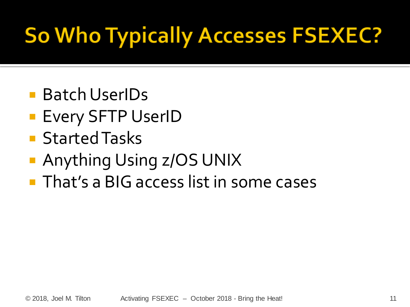### **So Who Typically Accesses FSEXEC?**

- Batch UserIDs
- **Every SFTP UserID**
- **Started Tasks**
- Anything Using z/OS UNIX
- **That's a BIG access list in some cases**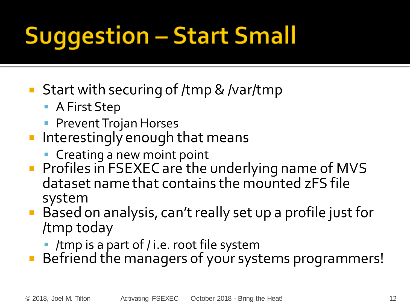# **Suggestion - Start Small**

- Start with securing of /tmp & /var/tmp
	- A First Step
	- **Prevent Trojan Horses**
- $\blacksquare$  Interestingly enough that means
	- **Creating a new moint point**
- **Profiles in FSEXEC are the underlying name of MVS** dataset name that contains the mounted zFS file system
- Based on analysis, can't really set up a profile just for /tmp today
	- /tmp is a part of / i.e. root file system
- Befriend the managers of your systems programmers!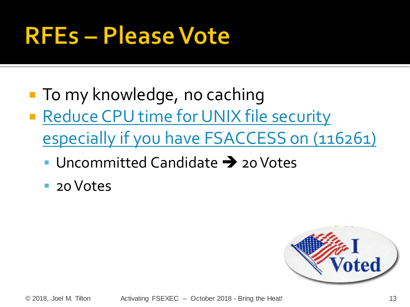#### **RFEs-Please Vote**

- **To my knowledge, no caching**
- Reduce CPU time for UNIX file security [especially if you have FSACCESS on \(116261\)](https://www.ibm.com/developerworks/rfe/execute?use_case=viewRfe&CR_ID=116261)
	- Uncommitted Candidate  $\rightarrow$  20 Votes
	- 20 Votes

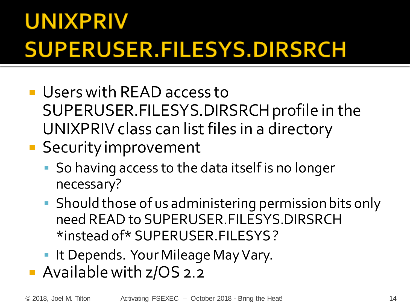#### **UNIXPRIV SUPERUSER.FILESYS.DIRSRCH**

- **Users with READ access to** SUPERUSER.FILESYS.DIRSRCH profile in the UNIXPRIV class can list files in a directory
- **Security improvement** 
	- So having access to the data itself is no longer necessary?
	- Should those of us administering permission bits only need READ to SUPERUSER.FILESYS.DIRSRCH \*instead of\* SUPERUSER.FILESYS ?
	- **It Depends. Your Mileage May Vary.**
- **Available with z/OS 2.2**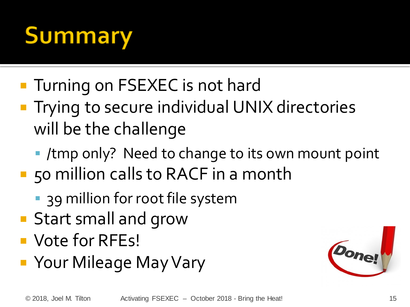# **Summary**

- **Turning on FSEXEC is not hard**
- **Trying to secure individual UNIX directories** will be the challenge
	- /tmp only? Need to change to its own mount point
- 50 million calls to RACF in a month
	- **39 million for root file system**
- **Start small and grow**
- **Vote for RFEs!**
- Your Mileage May Vary